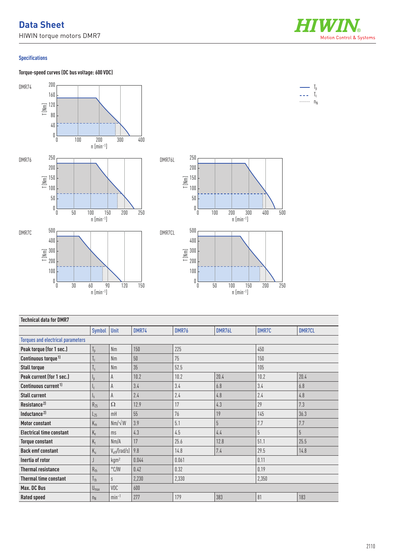## **Data Sheet** HIWIN torque motors DMR7

Motion Control & Systems

 $\mathbb{I}_{\mathbb{I}}$  $T_c$ 

## **Specifications**

**Torque-speed curves (DC bus voltage: 600 VDC)**



| <b>Technical data for DMR7</b>           |                         |                                 |              |       |        |       |                |  |  |
|------------------------------------------|-------------------------|---------------------------------|--------------|-------|--------|-------|----------------|--|--|
|                                          | Symbol                  | Unit                            | <b>DMR74</b> | DMR76 | DMR76L | DMR7C | <b>DMR7CL</b>  |  |  |
| <b>Torques and electrical parameters</b> |                         |                                 |              |       |        |       |                |  |  |
| Peak torque (for 1 sec.)                 | $T_p$                   | Nm                              | 150          | 225   |        | 450   |                |  |  |
| Continuous torque <sup>1)</sup>          | $I_{C}$                 | <b>Nm</b>                       | 50           | 75    |        | 150   |                |  |  |
| <b>Stall torque</b>                      | $\mathsf{I}_\mathsf{S}$ | <b>Nm</b>                       | 35           | 52.5  |        | 105   |                |  |  |
| Peak current (for 1 sec.)                | $I_{\rm D}$             | A                               | 10.2         | 10.2  | 20.4   | 10.2  | 20.4           |  |  |
| Continuous current <sup>1)</sup>         | I <sub>C</sub>          | A                               | 3.4          | 3.4   | 6.8    | 3.4   | 6.8            |  |  |
| <b>Stall current</b>                     | Ιs                      | A                               | 2.4          | 2.4   | 4.8    | 2.4   | 4.8            |  |  |
| Resistance <sup>2)</sup>                 | $R_{25}$                | $\Omega$                        | 12.9         | 17    | 4.3    | 29    | 7.3            |  |  |
| Inductance <sup>2)</sup>                 | $L_{25}$                | mH                              | 55           | 76    | 19     | 145   | 36.3           |  |  |
| <b>Motor constant</b>                    | $K_m$                   | $Nm/\sqrt{W}$                   | 3.9          | 5.1   | 5      | 7.7   | 7.7            |  |  |
| <b>Electrical time constant</b>          | $K_e$                   | ms                              | 4.3          | 4.5   | 4.4    | $5\,$ | $\overline{5}$ |  |  |
| <b>Torque constant</b>                   | $K_t$                   | Nm/A                            | 17           | 25.6  | 12.8   | 51.1  | 25.5           |  |  |
| <b>Back emf constant</b>                 | $K_{u}$                 | $V_{\text{eff}}/(\text{rad/s})$ | 9.8          | 14.8  | 7.4    | 29.5  | 14.8           |  |  |
| Inertia of rotor                         |                         | kgm <sup>2</sup>                | 0.044        | 0.061 |        | 0.11  |                |  |  |
| <b>Thermal resistance</b>                | $R_{th}$                | $\degree$ C/W                   | 0.42         | 0.32  |        | 0.19  |                |  |  |
| <b>Thermal time constant</b>             | $l_{th}$                | S                               | 2.230        | 2,330 |        | 2,350 |                |  |  |
| Max. DC Bus                              | $U_{\text{max}}$        | VDC                             | 600          |       |        |       |                |  |  |
| <b>Rated speed</b>                       | $n_N$                   | $min-1$                         | 277          | 179   | 383    | 81    | 183            |  |  |